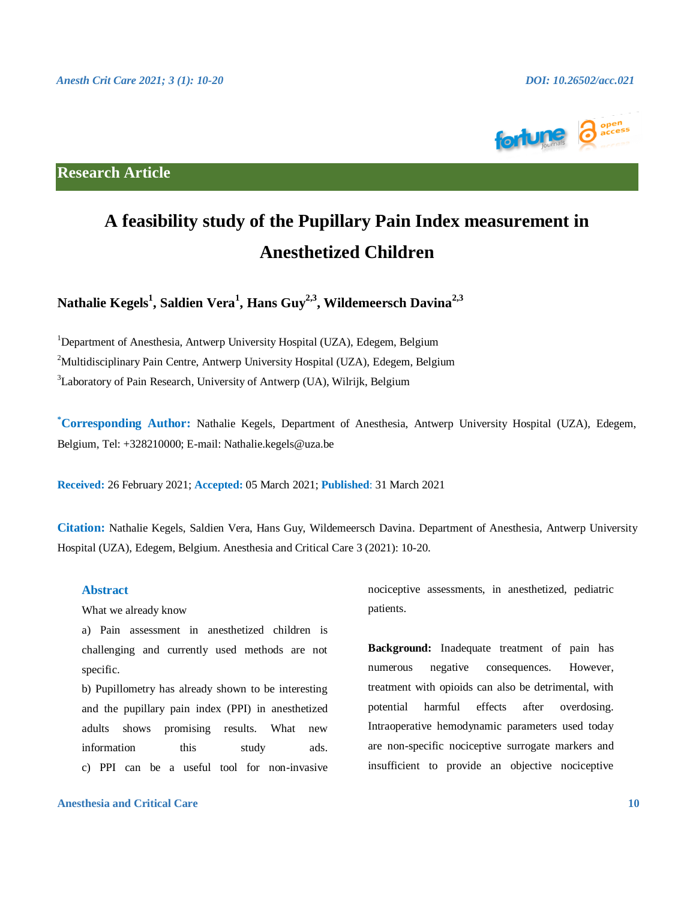

**Research Article**

# **A feasibility study of the Pupillary Pain Index measurement in Anesthetized Children**

**Nathalie Kegels<sup>1</sup> , Saldien Vera<sup>1</sup> , Hans Guy2,3, Wildemeersch Davina2,3**

<sup>1</sup>Department of Anesthesia, Antwerp University Hospital (UZA), Edegem, Belgium <sup>2</sup>Multidisciplinary Pain Centre, Antwerp University Hospital (UZA), Edegem, Belgium <sup>3</sup>Laboratory of Pain Research, University of Antwerp (UA), Wilrijk, Belgium

**\*Corresponding Author:** Nathalie Kegels, Department of Anesthesia, Antwerp University Hospital (UZA), Edegem, Belgium, Tel: +328210000; E-mail: Nathalie.kegels@uza.be

**Received:** 26 February 2021; **Accepted:** 05 March 2021; **Published**: 31 March 2021

**Citation:** Nathalie Kegels, Saldien Vera, Hans Guy, Wildemeersch Davina. Department of Anesthesia, Antwerp University Hospital (UZA), Edegem, Belgium. Anesthesia and Critical Care 3 (2021): 10-20.

# **Abstract**

What we already know

a) Pain assessment in anesthetized children is challenging and currently used methods are not specific.

b) Pupillometry has already shown to be interesting and the pupillary pain index (PPI) in anesthetized adults shows promising results. What new information this study ads. c) PPI can be a useful tool for non-invasive

**Anesthesia and Critical Care 10**

nociceptive assessments, in anesthetized, pediatric patients.

**Background:** Inadequate treatment of pain has numerous negative consequences. However, treatment with opioids can also be detrimental, with potential harmful effects after overdosing. Intraoperative hemodynamic parameters used today are non-specific nociceptive surrogate markers and insufficient to provide an objective nociceptive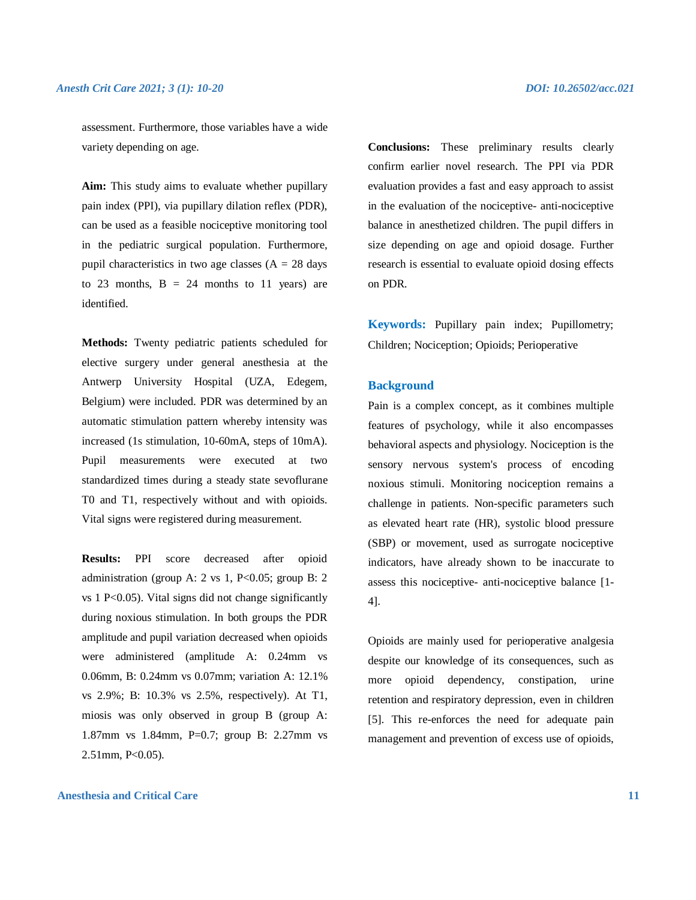assessment. Furthermore, those variables have a wide variety depending on age.

**Aim:** This study aims to evaluate whether pupillary pain index (PPI), via pupillary dilation reflex (PDR), can be used as a feasible nociceptive monitoring tool in the pediatric surgical population. Furthermore, pupil characteristics in two age classes  $(A = 28$  days to 23 months,  $B = 24$  months to 11 years) are identified.

**Methods:** Twenty pediatric patients scheduled for elective surgery under general anesthesia at the Antwerp University Hospital (UZA, Edegem, Belgium) were included. PDR was determined by an automatic stimulation pattern whereby intensity was increased (1s stimulation, 10-60mA, steps of 10mA). Pupil measurements were executed at two standardized times during a steady state sevoflurane T0 and T1, respectively without and with opioids. Vital signs were registered during measurement.

**Results:** PPI score decreased after opioid administration (group A:  $2 \text{ vs } 1$ , P<0.05; group B:  $2$ vs  $1$  P $\leq$ 0.05). Vital signs did not change significantly during noxious stimulation. In both groups the PDR amplitude and pupil variation decreased when opioids were administered (amplitude A: 0.24mm vs 0.06mm, B: 0.24mm vs 0.07mm; variation A: 12.1% vs 2.9%; B: 10.3% vs 2.5%, respectively). At T1, miosis was only observed in group B (group A: 1.87mm vs 1.84mm, P=0.7; group B: 2.27mm vs 2.51mm, P<0.05).

#### **Anesthesia and Critical Care 11**

**Conclusions:** These preliminary results clearly confirm earlier novel research. The PPI via PDR evaluation provides a fast and easy approach to assist in the evaluation of the nociceptive- anti-nociceptive balance in anesthetized children. The pupil differs in size depending on age and opioid dosage. Further research is essential to evaluate opioid dosing effects on PDR.

**Keywords:** Pupillary pain index; Pupillometry; Children; Nociception; Opioids; Perioperative

#### **Background**

Pain is a complex concept, as it combines multiple features of psychology, while it also encompasses behavioral aspects and physiology. Nociception is the sensory nervous system's process of encoding noxious stimuli. Monitoring nociception remains a challenge in patients. Non-specific parameters such as elevated heart rate (HR), systolic blood pressure (SBP) or movement, used as surrogate nociceptive indicators, have already shown to be inaccurate to assess this nociceptive- anti-nociceptive balance [1- 4].

Opioids are mainly used for perioperative analgesia despite our knowledge of its consequences, such as more opioid dependency, constipation, urine retention and respiratory depression, even in children [5]. This re-enforces the need for adequate pain management and prevention of excess use of opioids,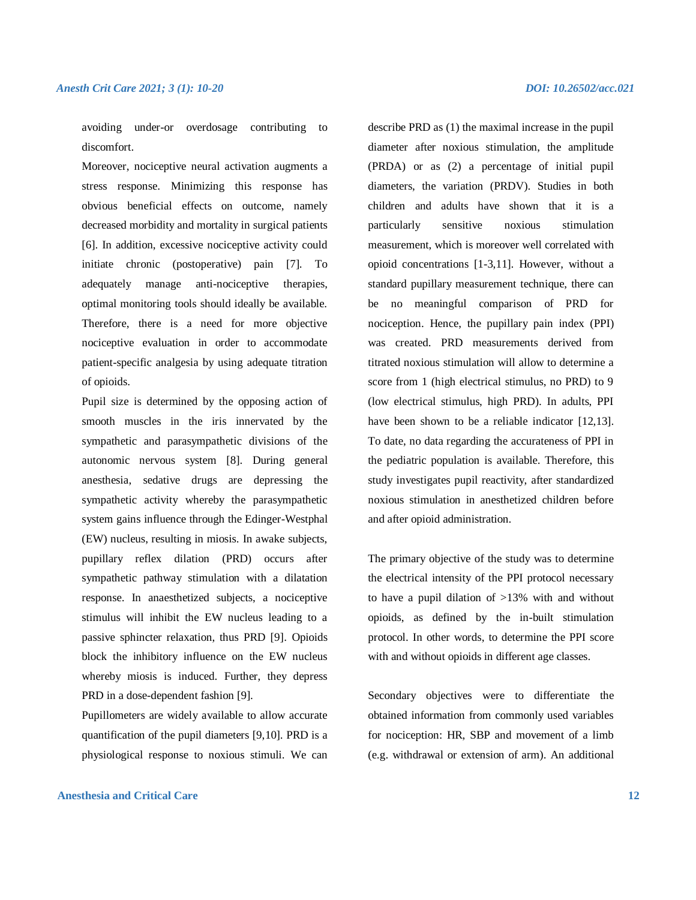avoiding under-or overdosage contributing to discomfort.

Moreover, nociceptive neural activation augments a stress response. Minimizing this response has obvious beneficial effects on outcome, namely decreased morbidity and mortality in surgical patients [6]. In addition, excessive nociceptive activity could initiate chronic (postoperative) pain [7]. To adequately manage anti-nociceptive therapies, optimal monitoring tools should ideally be available. Therefore, there is a need for more objective nociceptive evaluation in order to accommodate patient-specific analgesia by using adequate titration of opioids.

Pupil size is determined by the opposing action of smooth muscles in the iris innervated by the sympathetic and parasympathetic divisions of the autonomic nervous system [8]. During general anesthesia, sedative drugs are depressing the sympathetic activity whereby the parasympathetic system gains influence through the Edinger-Westphal (EW) nucleus, resulting in miosis. In awake subjects, pupillary reflex dilation (PRD) occurs after sympathetic pathway stimulation with a dilatation response. In anaesthetized subjects, a nociceptive stimulus will inhibit the EW nucleus leading to a passive sphincter relaxation, thus PRD [9]. Opioids block the inhibitory influence on the EW nucleus whereby miosis is induced. Further, they depress PRD in a dose-dependent fashion [9].

Pupillometers are widely available to allow accurate quantification of the pupil diameters [9,10]. PRD is a physiological response to noxious stimuli. We can

# **Anesthesia and Critical Care 12**

describe PRD as (1) the maximal increase in the pupil diameter after noxious stimulation, the amplitude (PRDA) or as (2) a percentage of initial pupil diameters, the variation (PRDV). Studies in both children and adults have shown that it is a particularly sensitive noxious stimulation measurement, which is moreover well correlated with opioid concentrations [1-3,11]. However, without a standard pupillary measurement technique, there can be no meaningful comparison of PRD for nociception. Hence, the pupillary pain index (PPI) was created. PRD measurements derived from titrated noxious stimulation will allow to determine a score from 1 (high electrical stimulus, no PRD) to 9 (low electrical stimulus, high PRD). In adults, PPI have been shown to be a reliable indicator [12,13]. To date, no data regarding the accurateness of PPI in the pediatric population is available. Therefore, this study investigates pupil reactivity, after standardized noxious stimulation in anesthetized children before and after opioid administration.

The primary objective of the study was to determine the electrical intensity of the PPI protocol necessary to have a pupil dilation of >13% with and without opioids, as defined by the in-built stimulation protocol. In other words, to determine the PPI score with and without opioids in different age classes.

Secondary objectives were to differentiate the obtained information from commonly used variables for nociception: HR, SBP and movement of a limb (e.g. withdrawal or extension of arm). An additional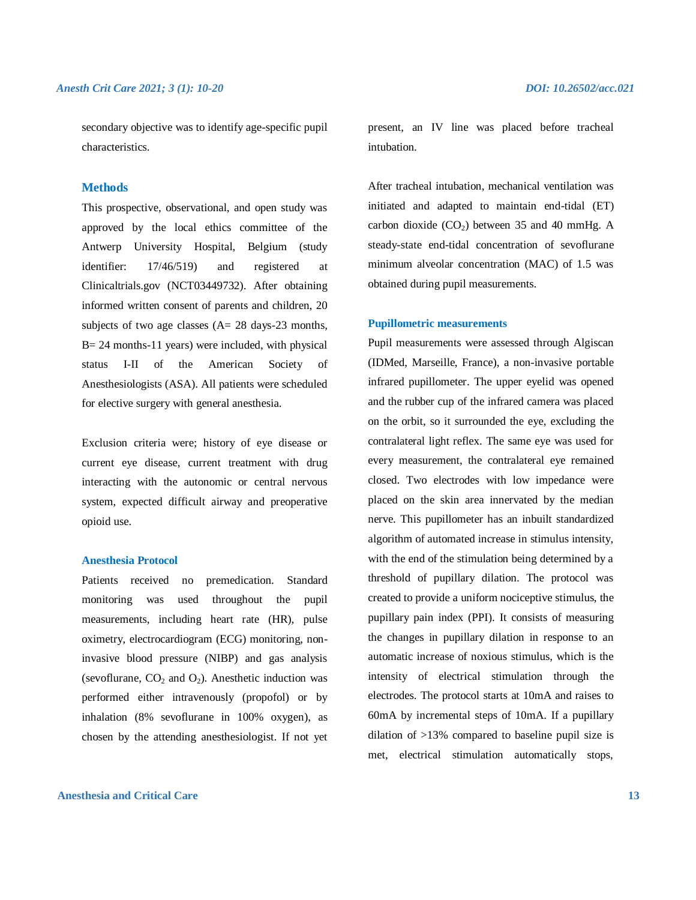secondary objective was to identify age-specific pupil characteristics.

# **Methods**

This prospective, observational, and open study was approved by the local ethics committee of the Antwerp University Hospital, Belgium (study identifier: 17/46/519) and registered at Clinicaltrials.gov (NCT03449732). After obtaining informed written consent of parents and children, 20 subjects of two age classes (A= 28 days-23 months,  $B = 24$  months-11 years) were included, with physical status I-II of the American Society of Anesthesiologists (ASA). All patients were scheduled for elective surgery with general anesthesia.

Exclusion criteria were; history of eye disease or current eye disease, current treatment with drug interacting with the autonomic or central nervous system, expected difficult airway and preoperative opioid use.

#### **Anesthesia Protocol**

Patients received no premedication. Standard monitoring was used throughout the pupil measurements, including heart rate (HR), pulse oximetry, electrocardiogram (ECG) monitoring, noninvasive blood pressure (NIBP) and gas analysis (sevoflurane,  $CO<sub>2</sub>$  and  $O<sub>2</sub>$ ). Anesthetic induction was performed either intravenously (propofol) or by inhalation (8% sevoflurane in 100% oxygen), as chosen by the attending anesthesiologist. If not yet

# **Anesthesia and Critical Care 13**

present, an IV line was placed before tracheal intubation.

After tracheal intubation, mechanical ventilation was initiated and adapted to maintain end-tidal (ET) carbon dioxide  $(CO<sub>2</sub>)$  between 35 and 40 mmHg. A steady-state end-tidal concentration of sevoflurane minimum alveolar concentration (MAC) of 1.5 was obtained during pupil measurements.

#### **Pupillometric measurements**

Pupil measurements were assessed through Algiscan (IDMed, Marseille, France), a non-invasive portable infrared pupillometer. The upper eyelid was opened and the rubber cup of the infrared camera was placed on the orbit, so it surrounded the eye, excluding the contralateral light reflex. The same eye was used for every measurement, the contralateral eye remained closed. Two electrodes with low impedance were placed on the skin area innervated by the median nerve. This pupillometer has an inbuilt standardized algorithm of automated increase in stimulus intensity, with the end of the stimulation being determined by a threshold of pupillary dilation. The protocol was created to provide a uniform nociceptive stimulus, the pupillary pain index (PPI). It consists of measuring the changes in pupillary dilation in response to an automatic increase of noxious stimulus, which is the intensity of electrical stimulation through the electrodes. The protocol starts at 10mA and raises to 60mA by incremental steps of 10mA. If a pupillary dilation of >13% compared to baseline pupil size is met, electrical stimulation automatically stops,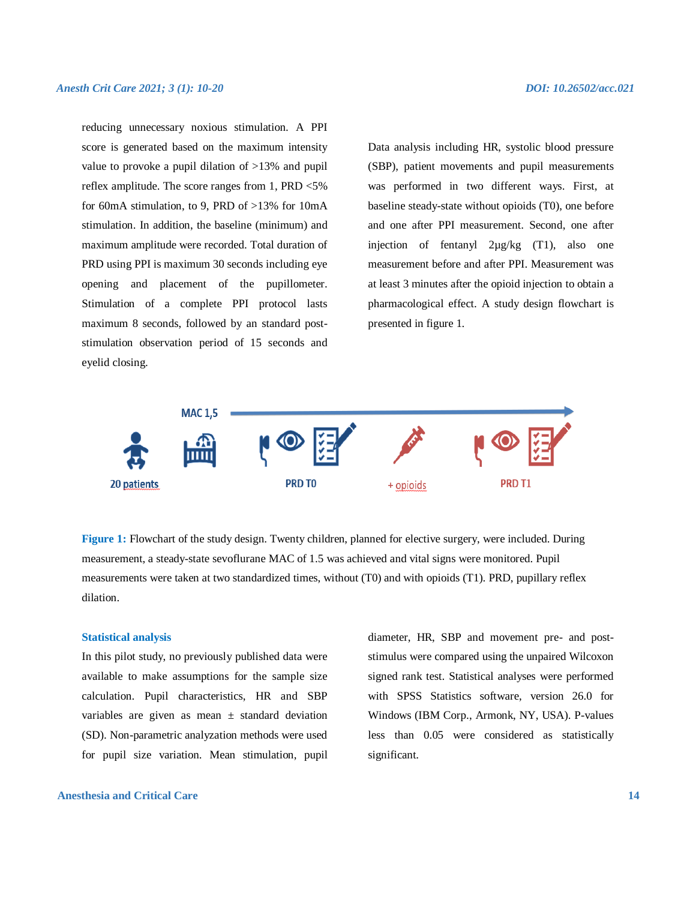reducing unnecessary noxious stimulation. A PPI score is generated based on the maximum intensity value to provoke a pupil dilation of >13% and pupil reflex amplitude. The score ranges from 1, PRD <5% for 60mA stimulation, to 9, PRD of >13% for 10mA stimulation. In addition, the baseline (minimum) and maximum amplitude were recorded. Total duration of PRD using PPI is maximum 30 seconds including eye opening and placement of the pupillometer. Stimulation of a complete PPI protocol lasts maximum 8 seconds, followed by an standard poststimulation observation period of 15 seconds and eyelid closing.

Data analysis including HR, systolic blood pressure (SBP), patient movements and pupil measurements was performed in two different ways. First, at baseline steady-state without opioids (T0), one before and one after PPI measurement. Second, one after injection of fentanyl 2µg/kg (T1), also one measurement before and after PPI. Measurement was at least 3 minutes after the opioid injection to obtain a pharmacological effect. A study design flowchart is presented in figure 1.



**Figure 1:** Flowchart of the study design. Twenty children, planned for elective surgery, were included. During measurement, a steady-state sevoflurane MAC of 1.5 was achieved and vital signs were monitored. Pupil measurements were taken at two standardized times, without (T0) and with opioids (T1). PRD, pupillary reflex dilation.

#### **Statistical analysis**

In this pilot study, no previously published data were available to make assumptions for the sample size calculation. Pupil characteristics, HR and SBP variables are given as mean  $\pm$  standard deviation (SD). Non-parametric analyzation methods were used for pupil size variation. Mean stimulation, pupil

**Anesthesia and Critical Care 14**

diameter, HR, SBP and movement pre- and poststimulus were compared using the unpaired Wilcoxon signed rank test. Statistical analyses were performed with SPSS Statistics software, version 26.0 for Windows (IBM Corp., Armonk, NY, USA). P-values less than 0.05 were considered as statistically significant.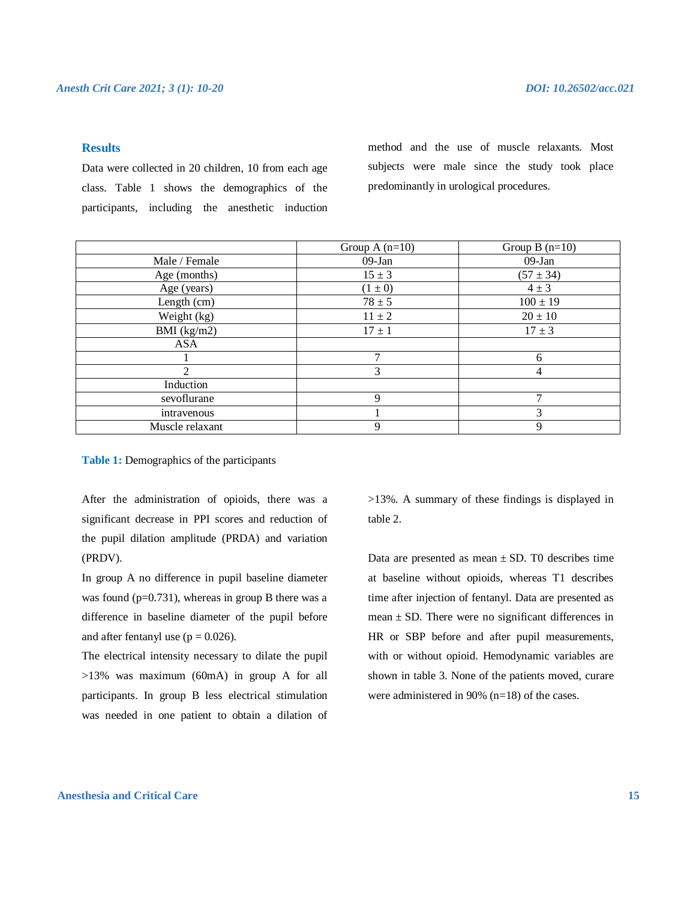# **Results**

Data were collected in 20 children, 10 from each age class. Table 1 shows the demographics of the participants, including the anesthetic induction method and the use of muscle relaxants. Most subjects were male since the study took place predominantly in urological procedures.

|                 | Group A $(n=10)$ | Group $B(n=10)$ |
|-----------------|------------------|-----------------|
| Male / Female   | $09-Jan$         | $09-Jan$        |
| Age (months)    | $15 \pm 3$       | $(57 \pm 34)$   |
| Age (years)     | $(1 \pm 0)$      | $4 \pm 3$       |
| Length (cm)     | $78 \pm 5$       | $100 \pm 19$    |
| Weight (kg)     | $11 \pm 2$       | $20 \pm 10$     |
| BMI $(kg/m2)$   | $17 \pm 1$       | $17 \pm 3$      |
| <b>ASA</b>      |                  |                 |
|                 |                  | 6               |
| $\mathfrak{D}$  | 3                | 4               |
| Induction       |                  |                 |
| sevoflurane     | 9                | 7               |
| intravenous     |                  | 3               |
| Muscle relaxant | 9                | 9               |
|                 |                  |                 |

**Table 1:** Demographics of the participants

After the administration of opioids, there was a significant decrease in PPI scores and reduction of the pupil dilation amplitude (PRDA) and variation (PRDV).

In group A no difference in pupil baseline diameter was found ( $p=0.731$ ), whereas in group B there was a difference in baseline diameter of the pupil before and after fentanyl use  $(p = 0.026)$ .

The electrical intensity necessary to dilate the pupil >13% was maximum (60mA) in group A for all participants. In group B less electrical stimulation was needed in one patient to obtain a dilation of >13%. A summary of these findings is displayed in table 2.

Data are presented as mean  $\pm$  SD. T0 describes time at baseline without opioids, whereas T1 describes time after injection of fentanyl. Data are presented as mean  $\pm$  SD. There were no significant differences in HR or SBP before and after pupil measurements, with or without opioid. Hemodynamic variables are shown in table 3. None of the patients moved, curare were administered in 90% (n=18) of the cases.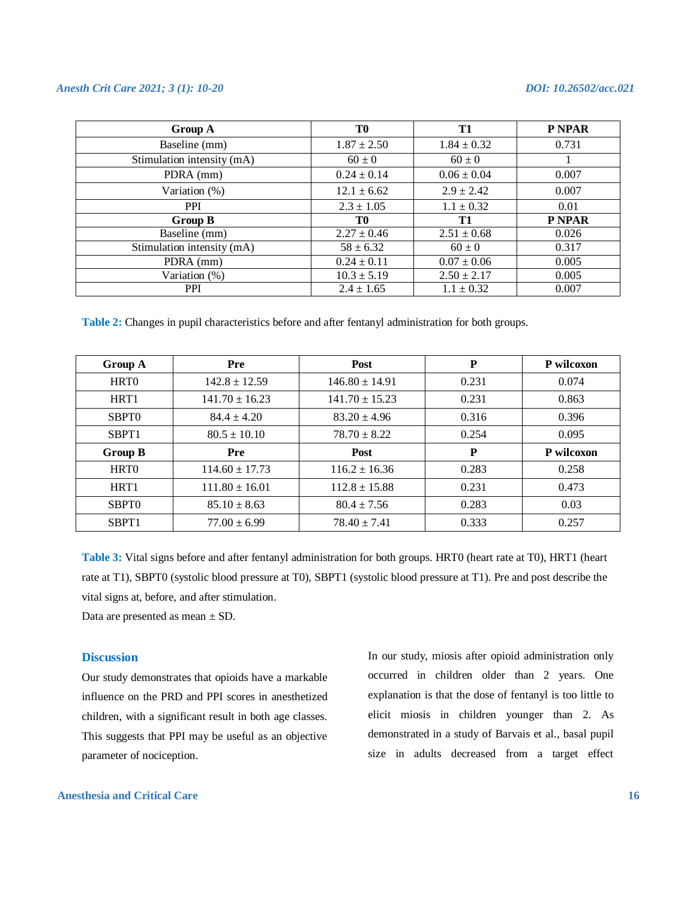| Group A                    | T0              | T <sub>1</sub>  | P NPAR |
|----------------------------|-----------------|-----------------|--------|
| Baseline (mm)              | $1.87 \pm 2.50$ | $1.84 \pm 0.32$ | 0.731  |
| Stimulation intensity (mA) | $60 \pm 0$      | $60 \pm 0$      |        |
| PDRA (mm)                  | $0.24 \pm 0.14$ | $0.06 \pm 0.04$ | 0.007  |
| Variation (%)              | $12.1 \pm 6.62$ | $2.9 \pm 2.42$  | 0.007  |
| <b>PPI</b>                 | $2.3 \pm 1.05$  | $1.1 \pm 0.32$  | 0.01   |
| Group B                    | T0              | T1              | P NPAR |
| Baseline (mm)              | $2.27 \pm 0.46$ | $2.51 \pm 0.68$ | 0.026  |
| Stimulation intensity (mA) | $58 \pm 6.32$   | $60 \pm 0$      | 0.317  |
| PDRA (mm)                  | $0.24 \pm 0.11$ | $0.07 \pm 0.06$ | 0.005  |
| Variation (%)              | $10.3 \pm 5.19$ | $2.50 \pm 2.17$ | 0.005  |
| <b>PPI</b>                 | $2.4 \pm 1.65$  | $1.1 \pm 0.32$  | 0.007  |

**Table 2:** Changes in pupil characteristics before and after fentanyl administration for both groups.

| Group A           | Pre                | <b>Post</b>        | ${\bf P}$ | P wilcoxon |
|-------------------|--------------------|--------------------|-----------|------------|
| HRT <sub>0</sub>  | $142.8 \pm 12.59$  | $146.80 \pm 14.91$ | 0.231     | 0.074      |
| HRT <sub>1</sub>  | $141.70 \pm 16.23$ | $141.70 \pm 15.23$ | 0.231     | 0.863      |
| SBPT <sub>0</sub> | $84.4 \pm 4.20$    | $83.20 \pm 4.96$   | 0.316     | 0.396      |
| SBPT <sub>1</sub> | $80.5 \pm 10.10$   | $78.70 \pm 8.22$   | 0.254     | 0.095      |
| <b>Group B</b>    | Pre                | Post               | P         | P wilcoxon |
| HRT <sub>0</sub>  | $114.60 \pm 17.73$ | $116.2 \pm 16.36$  | 0.283     | 0.258      |
| HRT <sub>1</sub>  | $111.80 \pm 16.01$ | $112.8 \pm 15.88$  | 0.231     | 0.473      |
| SBPT <sub>0</sub> | $85.10 \pm 8.63$   | $80.4 \pm 7.56$    | 0.283     | 0.03       |
| SBPT <sub>1</sub> | $77.00 \pm 6.99$   | $78.40 \pm 7.41$   | 0.333     | 0.257      |

**Table 3:** Vital signs before and after fentanyl administration for both groups. HRT0 (heart rate at T0), HRT1 (heart rate at T1), SBPT0 (systolic blood pressure at T0), SBPT1 (systolic blood pressure at T1). Pre and post describe the vital signs at, before, and after stimulation.

Data are presented as mean ± SD.

#### **Discussion**

Our study demonstrates that opioids have a markable influence on the PRD and PPI scores in anesthetized children, with a significant result in both age classes. This suggests that PPI may be useful as an objective parameter of nociception.

In our study, miosis after opioid administration only occurred in children older than 2 years. One explanation is that the dose of fentanyl is too little to elicit miosis in children younger than 2. As demonstrated in a study of Barvais et al., basal pupil size in adults decreased from a target effect

# **Anesthesia and Critical Care 16**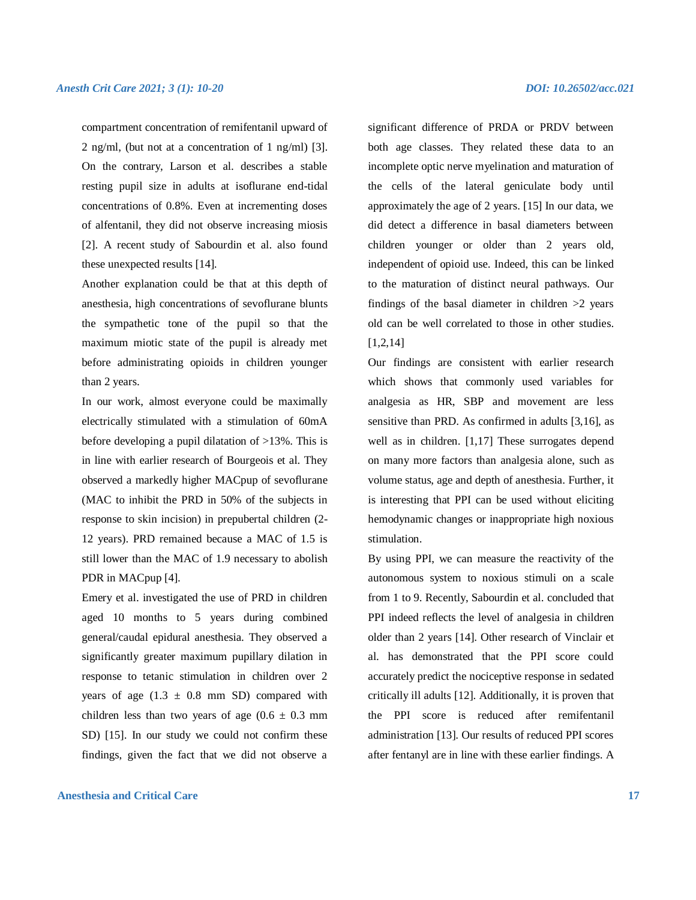compartment concentration of remifentanil upward of 2 ng/ml, (but not at a concentration of 1 ng/ml) [3]. On the contrary, Larson et al. describes a stable resting pupil size in adults at isoflurane end-tidal concentrations of 0.8%. Even at incrementing doses of alfentanil, they did not observe increasing miosis [2]. A recent study of Sabourdin et al. also found these unexpected results [14].

Another explanation could be that at this depth of anesthesia, high concentrations of sevoflurane blunts the sympathetic tone of the pupil so that the maximum miotic state of the pupil is already met before administrating opioids in children younger than 2 years.

In our work, almost everyone could be maximally electrically stimulated with a stimulation of 60mA before developing a pupil dilatation of >13%. This is in line with earlier research of Bourgeois et al. They observed a markedly higher MACpup of sevoflurane (MAC to inhibit the PRD in 50% of the subjects in response to skin incision) in prepubertal children (2- 12 years). PRD remained because a MAC of 1.5 is still lower than the MAC of 1.9 necessary to abolish PDR in MACpup [4].

Emery et al. investigated the use of PRD in children aged 10 months to 5 years during combined general/caudal epidural anesthesia. They observed a significantly greater maximum pupillary dilation in response to tetanic stimulation in children over 2 years of age  $(1.3 \pm 0.8 \text{ mm SD})$  compared with children less than two years of age  $(0.6 \pm 0.3 \text{ mm})$ SD) [15]. In our study we could not confirm these findings, given the fact that we did not observe a

# **Anesthesia and Critical Care 17**

significant difference of PRDA or PRDV between both age classes. They related these data to an incomplete optic nerve myelination and maturation of the cells of the lateral geniculate body until approximately the age of 2 years. [15] In our data, we did detect a difference in basal diameters between children younger or older than 2 years old, independent of opioid use. Indeed, this can be linked to the maturation of distinct neural pathways. Our findings of the basal diameter in children  $>2$  years old can be well correlated to those in other studies. [1,2,14]

Our findings are consistent with earlier research which shows that commonly used variables for analgesia as HR, SBP and movement are less sensitive than PRD. As confirmed in adults [3,16], as well as in children. [1,17] These surrogates depend on many more factors than analgesia alone, such as volume status, age and depth of anesthesia. Further, it is interesting that PPI can be used without eliciting hemodynamic changes or inappropriate high noxious stimulation.

By using PPI, we can measure the reactivity of the autonomous system to noxious stimuli on a scale from 1 to 9. Recently, Sabourdin et al. concluded that PPI indeed reflects the level of analgesia in children older than 2 years [14]. Other research of Vinclair et al. has demonstrated that the PPI score could accurately predict the nociceptive response in sedated critically ill adults [12]. Additionally, it is proven that the PPI score is reduced after remifentanil administration [13]. Our results of reduced PPI scores after fentanyl are in line with these earlier findings. A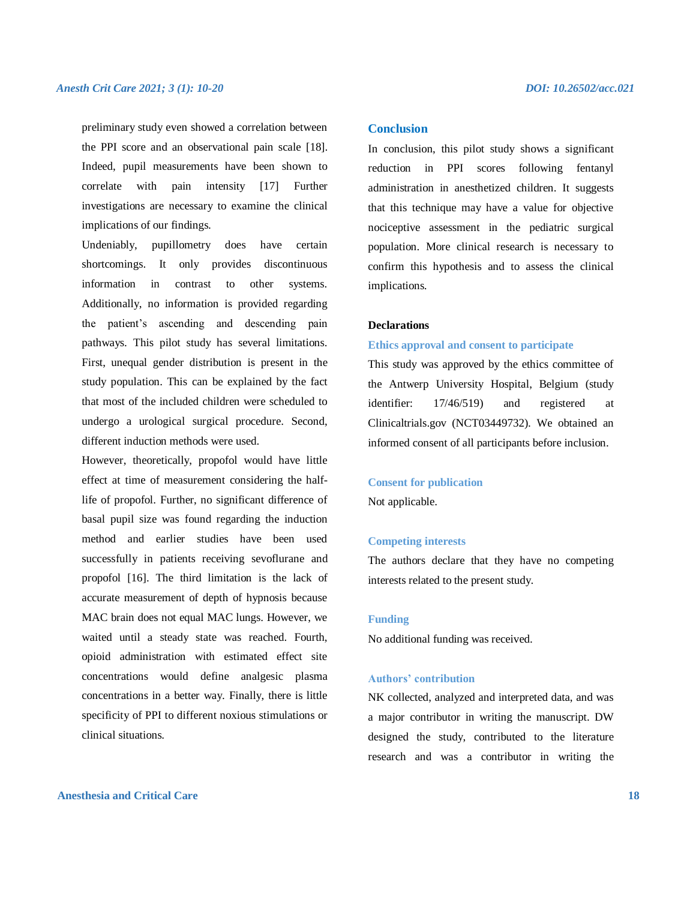preliminary study even showed a correlation between the PPI score and an observational pain scale [18]. Indeed, pupil measurements have been shown to correlate with pain intensity [17] Further investigations are necessary to examine the clinical implications of our findings.

Undeniably, pupillometry does have certain shortcomings. It only provides discontinuous information in contrast to other systems. Additionally, no information is provided regarding the patient's ascending and descending pain pathways. This pilot study has several limitations. First, unequal gender distribution is present in the study population. This can be explained by the fact that most of the included children were scheduled to undergo a urological surgical procedure. Second, different induction methods were used.

However, theoretically, propofol would have little effect at time of measurement considering the halflife of propofol. Further, no significant difference of basal pupil size was found regarding the induction method and earlier studies have been used successfully in patients receiving sevoflurane and propofol [16]. The third limitation is the lack of accurate measurement of depth of hypnosis because MAC brain does not equal MAC lungs. However, we waited until a steady state was reached. Fourth, opioid administration with estimated effect site concentrations would define analgesic plasma concentrations in a better way. Finally, there is little specificity of PPI to different noxious stimulations or clinical situations.

#### **Conclusion**

In conclusion, this pilot study shows a significant reduction in PPI scores following fentanyl administration in anesthetized children. It suggests that this technique may have a value for objective nociceptive assessment in the pediatric surgical population. More clinical research is necessary to confirm this hypothesis and to assess the clinical implications.

# **Declarations**

#### **Ethics approval and consent to participate**

This study was approved by the ethics committee of the Antwerp University Hospital, Belgium (study identifier: 17/46/519) and registered at Clinicaltrials.gov (NCT03449732). We obtained an informed consent of all participants before inclusion.

#### **Consent for publication**

Not applicable.

#### **Competing interests**

The authors declare that they have no competing interests related to the present study.

#### **Funding**

No additional funding was received.

#### **Authors' contribution**

NK collected, analyzed and interpreted data, and was a major contributor in writing the manuscript. DW designed the study, contributed to the literature research and was a contributor in writing the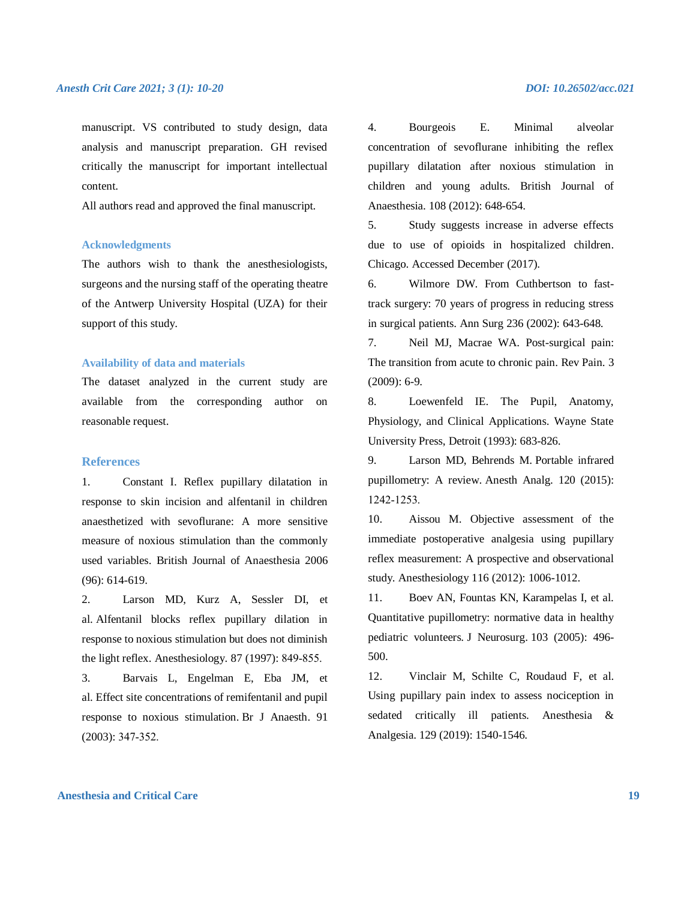manuscript. VS contributed to study design, data analysis and manuscript preparation. GH revised critically the manuscript for important intellectual content.

All authors read and approved the final manuscript.

#### **Acknowledgments**

The authors wish to thank the anesthesiologists, surgeons and the nursing staff of the operating theatre of the Antwerp University Hospital (UZA) for their support of this study.

#### **Availability of data and materials**

The dataset analyzed in the current study are available from the corresponding author on reasonable request.

# **References**

1. Constant I. Reflex pupillary dilatation in response to skin incision and alfentanil in children anaesthetized with sevoflurane: A more sensitive measure of noxious stimulation than the commonly used variables. British Journal of Anaesthesia 2006 (96): 614-619.

2. Larson MD, Kurz A, Sessler DI, et al. Alfentanil blocks reflex pupillary dilation in response to noxious stimulation but does not diminish the light reflex. Anesthesiology. 87 (1997): 849‐855.

3. Barvais L, Engelman E, Eba JM, et al. Effect site concentrations of remifentanil and pupil response to noxious stimulation. Br J Anaesth. 91 (2003): 347‐352.

4. Bourgeois E. Minimal alveolar concentration of sevoflurane inhibiting the reflex pupillary dilatation after noxious stimulation in children and young adults. British Journal of Anaesthesia. 108 (2012): 648-654.

5. Study suggests increase in adverse effects due to use of opioids in hospitalized children. Chicago. Accessed December (2017).

6. Wilmore DW. From Cuthbertson to fasttrack surgery: 70 years of progress in reducing stress in surgical patients. Ann Surg 236 (2002): 643-648.

7. Neil MJ, Macrae WA. Post-surgical pain: The transition from acute to chronic pain. Rev Pain. 3 (2009): 6-9.

8. Loewenfeld IE. The Pupil, Anatomy, Physiology, and Clinical Applications. Wayne State University Press, Detroit (1993): 683-826.

9. Larson MD, Behrends M. Portable infrared pupillometry: A review. Anesth Analg. 120 (2015): 1242‐1253.

10. Aissou M. Objective assessment of the immediate postoperative analgesia using pupillary reflex measurement: A prospective and observational study. Anesthesiology 116 (2012): 1006-1012.

11. Boev AN, Fountas KN, Karampelas I, et al. Quantitative pupillometry: normative data in healthy pediatric volunteers. J Neurosurg. 103 (2005): 496- 500.

12. Vinclair M, Schilte C, Roudaud F, et al. Using pupillary pain index to assess nociception in sedated critically ill patients. Anesthesia & Analgesia. 129 (2019): 1540-1546.

# **Anesthesia and Critical Care 19**